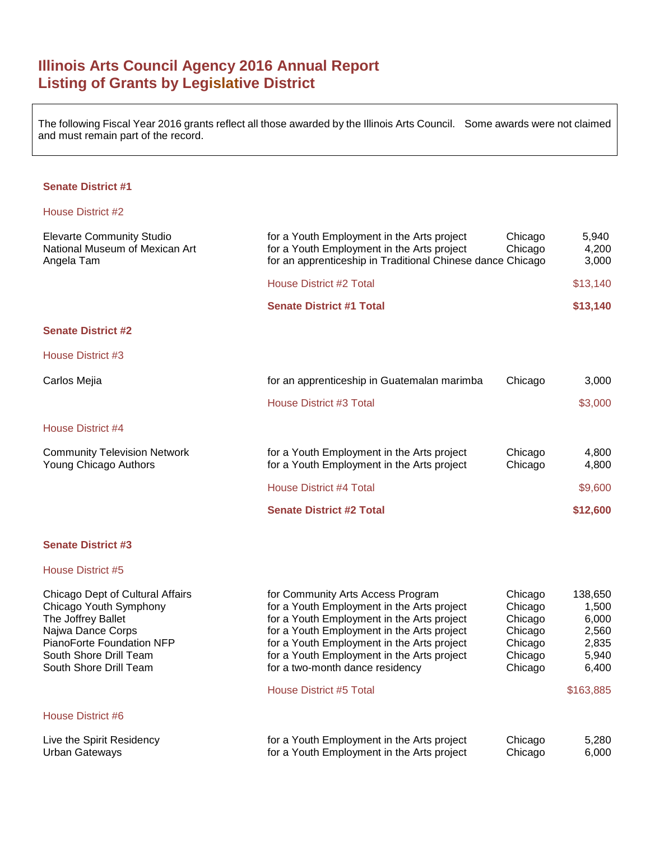# **Illinois Arts Council Agency 2016 Annual Report Listing of Grants by Legislative District**

The following Fiscal Year 2016 grants reflect all those awarded by the Illinois Arts Council. Some awards were not claimed and must remain part of the record.

#### **Senate District #1**

#### House District #2

| <b>Elevarte Community Studio</b><br>National Museum of Mexican Art<br>Angela Tam | for a Youth Employment in the Arts project<br>for a Youth Employment in the Arts project<br>for an apprenticeship in Traditional Chinese dance Chicago | Chicago<br>Chicago | 5,940<br>4,200<br>3,000 |
|----------------------------------------------------------------------------------|--------------------------------------------------------------------------------------------------------------------------------------------------------|--------------------|-------------------------|
|                                                                                  | House District #2 Total                                                                                                                                |                    | \$13,140                |
|                                                                                  | <b>Senate District #1 Total</b>                                                                                                                        |                    | \$13,140                |
| <b>Senate District #2</b>                                                        |                                                                                                                                                        |                    |                         |
| House District #3                                                                |                                                                                                                                                        |                    |                         |
| Carlos Mejia                                                                     | for an apprenticeship in Guatemalan marimba                                                                                                            | Chicago            | 3,000                   |
|                                                                                  | House District #3 Total                                                                                                                                |                    | \$3,000                 |
| House District #4                                                                |                                                                                                                                                        |                    |                         |
| <b>Community Television Network</b><br>Young Chicago Authors                     | for a Youth Employment in the Arts project<br>for a Youth Employment in the Arts project                                                               | Chicago<br>Chicago | 4,800<br>4,800          |
|                                                                                  | House District #4 Total                                                                                                                                |                    | \$9,600                 |
|                                                                                  | <b>Senate District #2 Total</b>                                                                                                                        |                    | \$12,600                |

## **Senate District #3**

| Chicago Dept of Cultural Affairs<br>Chicago Youth Symphony<br>The Joffrey Ballet<br>Najwa Dance Corps<br>PianoForte Foundation NFP<br>South Shore Drill Team<br>South Shore Drill Team<br>House District #6 | for Community Arts Access Program<br>for a Youth Employment in the Arts project<br>for a Youth Employment in the Arts project<br>for a Youth Employment in the Arts project<br>for a Youth Employment in the Arts project<br>for a Youth Employment in the Arts project<br>for a two-month dance residency<br><b>House District #5 Total</b> | Chicago<br>Chicago<br>Chicago<br>Chicago<br>Chicago<br>Chicago<br>Chicago | 138,650<br>1,500<br>6.000<br>2,560<br>2,835<br>5,940<br>6,400<br>\$163,885 |
|-------------------------------------------------------------------------------------------------------------------------------------------------------------------------------------------------------------|----------------------------------------------------------------------------------------------------------------------------------------------------------------------------------------------------------------------------------------------------------------------------------------------------------------------------------------------|---------------------------------------------------------------------------|----------------------------------------------------------------------------|
| Live the Spirit Residency                                                                                                                                                                                   | for a Youth Employment in the Arts project                                                                                                                                                                                                                                                                                                   | Chicago                                                                   | 5.280                                                                      |
| Urban Gateways                                                                                                                                                                                              | for a Youth Employment in the Arts project                                                                                                                                                                                                                                                                                                   | Chicago                                                                   | 6.000                                                                      |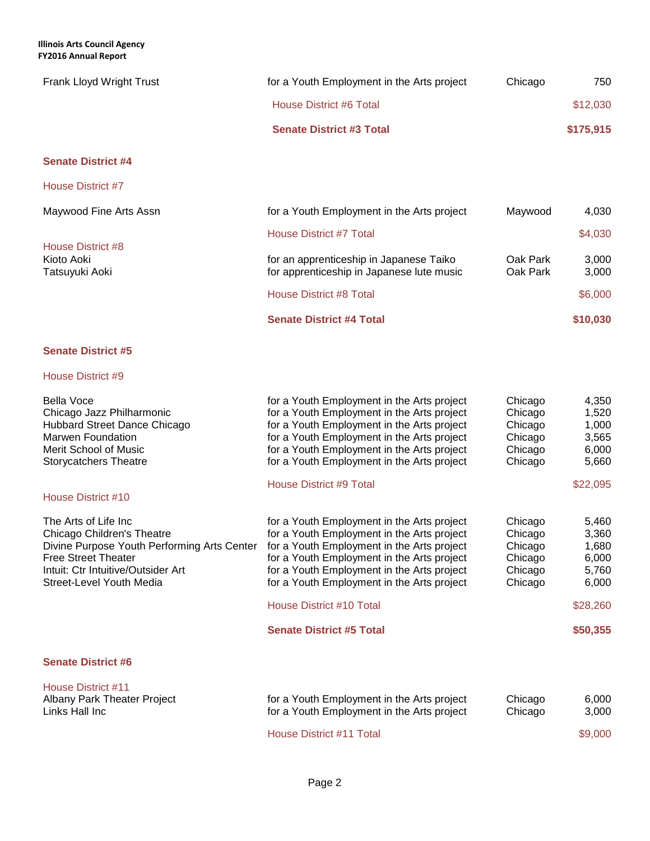**Illinois Arts Council Agency FY2016 Annual Report**

| Frank Lloyd Wright Trust | for a Youth Employment in the Arts project | Chicago | 750       |
|--------------------------|--------------------------------------------|---------|-----------|
|                          | House District #6 Total                    |         | \$12,030  |
|                          | <b>Senate District #3 Total</b>            |         | \$175,915 |

## **Senate District #4**

House District #7

|                                                   | <b>Senate District #4 Total</b>                                                      |                      | \$10,030       |
|---------------------------------------------------|--------------------------------------------------------------------------------------|----------------------|----------------|
|                                                   | <b>House District #8 Total</b>                                                       |                      | \$6,000        |
| House District #8<br>Kioto Aoki<br>Tatsuyuki Aoki | for an apprenticeship in Japanese Taiko<br>for apprenticeship in Japanese lute music | Oak Park<br>Oak Park | 3.000<br>3,000 |
|                                                   | House District #7 Total                                                              |                      | \$4,030        |
| Maywood Fine Arts Assn                            | for a Youth Employment in the Arts project                                           | Maywood              | 4,030          |
|                                                   |                                                                                      |                      |                |

## **Senate District #5**

| <b>Bella Voce</b><br>Chicago Jazz Philharmonic<br>Hubbard Street Dance Chicago<br>Marwen Foundation<br><b>Merit School of Music</b><br><b>Storycatchers Theatre</b>                                | for a Youth Employment in the Arts project<br>for a Youth Employment in the Arts project<br>for a Youth Employment in the Arts project<br>for a Youth Employment in the Arts project<br>for a Youth Employment in the Arts project<br>for a Youth Employment in the Arts project                                    | Chicago<br>Chicago<br>Chicago<br>Chicago<br>Chicago<br>Chicago | 4,350<br>1,520<br>1,000<br>3,565<br>6,000<br>5,660             |
|----------------------------------------------------------------------------------------------------------------------------------------------------------------------------------------------------|---------------------------------------------------------------------------------------------------------------------------------------------------------------------------------------------------------------------------------------------------------------------------------------------------------------------|----------------------------------------------------------------|----------------------------------------------------------------|
| House District #10                                                                                                                                                                                 | House District #9 Total                                                                                                                                                                                                                                                                                             |                                                                | \$22,095                                                       |
| The Arts of Life Inc.<br>Chicago Children's Theatre<br>Divine Purpose Youth Performing Arts Center<br><b>Free Street Theater</b><br>Intuit: Ctr Intuitive/Outsider Art<br>Street-Level Youth Media | for a Youth Employment in the Arts project<br>for a Youth Employment in the Arts project<br>for a Youth Employment in the Arts project<br>for a Youth Employment in the Arts project<br>for a Youth Employment in the Arts project<br>for a Youth Employment in the Arts project<br><b>House District #10 Total</b> | Chicago<br>Chicago<br>Chicago<br>Chicago<br>Chicago<br>Chicago | 5,460<br>3,360<br>1,680<br>6,000<br>5,760<br>6,000<br>\$28,260 |
|                                                                                                                                                                                                    | <b>Senate District #5 Total</b>                                                                                                                                                                                                                                                                                     |                                                                | \$50,355                                                       |
| <b>Senate District #6</b>                                                                                                                                                                          |                                                                                                                                                                                                                                                                                                                     |                                                                |                                                                |
| House District #11<br>Albany Park Theater Project                                                                                                                                                  | for a Youth Employment in the Arts project                                                                                                                                                                                                                                                                          | Chicago                                                        | 6,000                                                          |

| Albany Park Theater Project | for a Youth Employment in the Arts project | Chicago | 6.000   |
|-----------------------------|--------------------------------------------|---------|---------|
| Links Hall Inc              | for a Youth Employment in the Arts project | Chicago | 3,000   |
|                             | House District #11 Total                   |         | \$9,000 |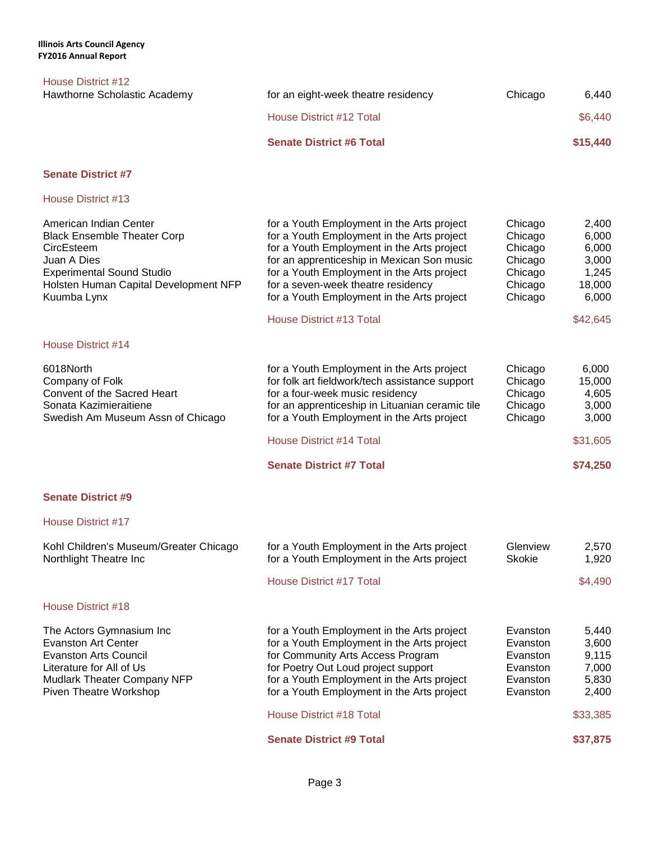House District #17

| House District #12                                                                                                                                                                    |                                                                                                                                                                                                                                                                                                                                                           |                                                                           |                                                                          |
|---------------------------------------------------------------------------------------------------------------------------------------------------------------------------------------|-----------------------------------------------------------------------------------------------------------------------------------------------------------------------------------------------------------------------------------------------------------------------------------------------------------------------------------------------------------|---------------------------------------------------------------------------|--------------------------------------------------------------------------|
| Hawthorne Scholastic Academy                                                                                                                                                          | for an eight-week theatre residency                                                                                                                                                                                                                                                                                                                       | Chicago                                                                   | 6,440                                                                    |
|                                                                                                                                                                                       | <b>House District #12 Total</b>                                                                                                                                                                                                                                                                                                                           |                                                                           | \$6,440                                                                  |
|                                                                                                                                                                                       | <b>Senate District #6 Total</b>                                                                                                                                                                                                                                                                                                                           |                                                                           | \$15,440                                                                 |
| <b>Senate District #7</b>                                                                                                                                                             |                                                                                                                                                                                                                                                                                                                                                           |                                                                           |                                                                          |
| House District #13                                                                                                                                                                    |                                                                                                                                                                                                                                                                                                                                                           |                                                                           |                                                                          |
| American Indian Center<br><b>Black Ensemble Theater Corp</b><br>CircEsteem<br>Juan A Dies<br><b>Experimental Sound Studio</b><br>Holsten Human Capital Development NFP<br>Kuumba Lynx | for a Youth Employment in the Arts project<br>for a Youth Employment in the Arts project<br>for a Youth Employment in the Arts project<br>for an apprenticeship in Mexican Son music<br>for a Youth Employment in the Arts project<br>for a seven-week theatre residency<br>for a Youth Employment in the Arts project<br><b>House District #13 Total</b> | Chicago<br>Chicago<br>Chicago<br>Chicago<br>Chicago<br>Chicago<br>Chicago | 2,400<br>6,000<br>6,000<br>3,000<br>1,245<br>18,000<br>6,000<br>\$42,645 |
| House District #14                                                                                                                                                                    |                                                                                                                                                                                                                                                                                                                                                           |                                                                           |                                                                          |
| 6018North<br>Company of Folk<br>Convent of the Sacred Heart                                                                                                                           | for a Youth Employment in the Arts project<br>for folk art fieldwork/tech assistance support<br>for a four-week music residency                                                                                                                                                                                                                           | Chicago<br>Chicago<br>Chicago                                             | 6,000<br>15,000<br>4,605                                                 |

Sonata Kazimieraitiene for an apprenticeship in Lituanian ceramic tile Chicago 3,000<br>Swedish Am Museum Assn of Chicago for a Youth Employment in the Arts project Chicago 3,000

| Kohl Children's Museum/Greater Chicago<br>Northlight Theatre Inc                                                                                                     | for a Youth Employment in the Arts project<br>for a Youth Employment in the Arts project                                                                                                                                                                         | Glenview<br><b>Skokie</b>                                            | 2.570<br>1.920                                     |
|----------------------------------------------------------------------------------------------------------------------------------------------------------------------|------------------------------------------------------------------------------------------------------------------------------------------------------------------------------------------------------------------------------------------------------------------|----------------------------------------------------------------------|----------------------------------------------------|
|                                                                                                                                                                      | House District #17 Total                                                                                                                                                                                                                                         |                                                                      | \$4,490                                            |
| House District #18                                                                                                                                                   |                                                                                                                                                                                                                                                                  |                                                                      |                                                    |
| The Actors Gymnasium Inc<br>Evanston Art Center<br>Evanston Arts Council<br>Literature for All of Us<br><b>Mudlark Theater Company NFP</b><br>Piven Theatre Workshop | for a Youth Employment in the Arts project<br>for a Youth Employment in the Arts project<br>for Community Arts Access Program<br>for Poetry Out Loud project support<br>for a Youth Employment in the Arts project<br>for a Youth Employment in the Arts project | Evanston<br>Evanston<br>Evanston<br>Evanston<br>Evanston<br>Evanston | 5.440<br>3.600<br>9.115<br>7.000<br>5,830<br>2,400 |
|                                                                                                                                                                      | House District #18 Total                                                                                                                                                                                                                                         |                                                                      | \$33,385                                           |

**Senate District #9 Total \$37,875** 

for a Youth Employment in the Arts project Chicago 3,000

House District #14 Total \$31,605

**Senate District #7 Total \$74,250**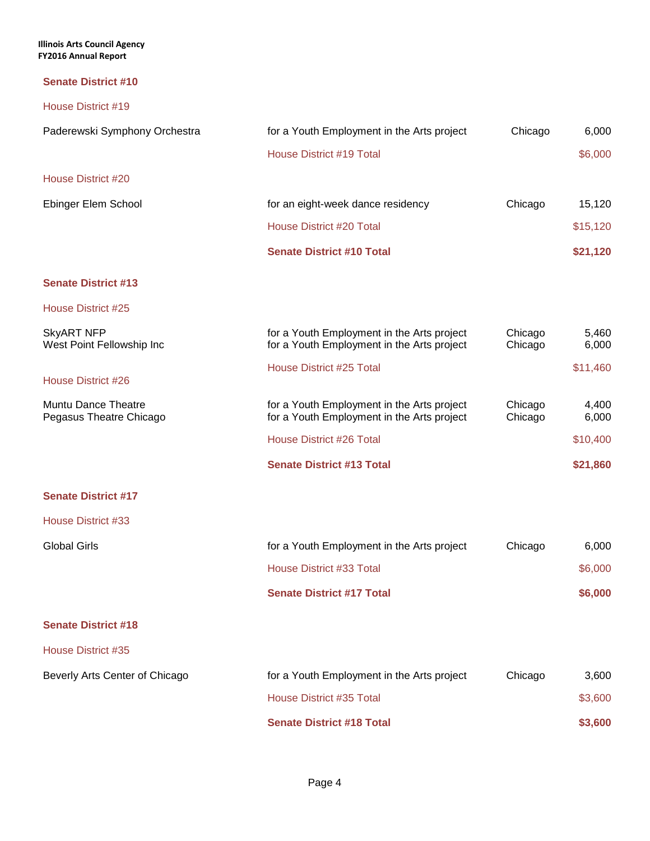**Illinois Arts Council Agency FY2016 Annual Report**

## **Senate District #10**

| House District #19                             |                                                                                          |                    |                |
|------------------------------------------------|------------------------------------------------------------------------------------------|--------------------|----------------|
| Paderewski Symphony Orchestra                  | for a Youth Employment in the Arts project                                               | Chicago            | 6,000          |
|                                                | House District #19 Total                                                                 |                    | \$6,000        |
| House District #20                             |                                                                                          |                    |                |
| Ebinger Elem School                            | for an eight-week dance residency                                                        | Chicago            | 15,120         |
|                                                | House District #20 Total                                                                 |                    | \$15,120       |
|                                                | <b>Senate District #10 Total</b>                                                         |                    | \$21,120       |
| <b>Senate District #13</b>                     |                                                                                          |                    |                |
| House District #25                             |                                                                                          |                    |                |
| <b>SkyART NFP</b><br>West Point Fellowship Inc | for a Youth Employment in the Arts project<br>for a Youth Employment in the Arts project | Chicago<br>Chicago | 5,460<br>6,000 |
| House District #26                             | <b>House District #25 Total</b>                                                          |                    | \$11,460       |
| Muntu Dance Theatre<br>Pegasus Theatre Chicago | for a Youth Employment in the Arts project<br>for a Youth Employment in the Arts project | Chicago<br>Chicago | 4,400<br>6,000 |
|                                                | House District #26 Total                                                                 |                    | \$10,400       |
|                                                | <b>Senate District #13 Total</b>                                                         |                    | \$21,860       |
| <b>Senate District #17</b>                     |                                                                                          |                    |                |

House District #33

| Global Girls | for a Youth Employment in the Arts project | Chicago | 6.000   |
|--------------|--------------------------------------------|---------|---------|
|              | House District #33 Total                   |         | \$6,000 |
|              | <b>Senate District #17 Total</b>           |         | \$6,000 |

# **Senate District #18**

| Beverly Arts Center of Chicago | for a Youth Employment in the Arts project | Chicago | 3,600   |
|--------------------------------|--------------------------------------------|---------|---------|
|                                | House District #35 Total                   |         | \$3,600 |
|                                | <b>Senate District #18 Total</b>           |         | \$3,600 |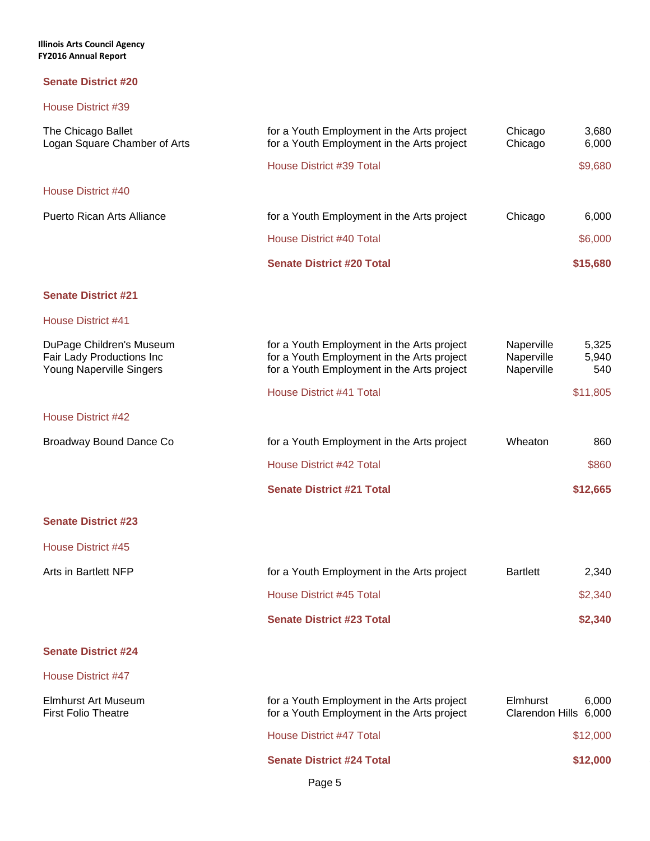| The Chicago Ballet<br>Logan Square Chamber of Arts                                | for a Youth Employment in the Arts project<br>Chicago<br>for a Youth Employment in the Arts project<br>Chicago                         |                                                                 |
|-----------------------------------------------------------------------------------|----------------------------------------------------------------------------------------------------------------------------------------|-----------------------------------------------------------------|
|                                                                                   | House District #39 Total                                                                                                               | \$9,680                                                         |
| <b>House District #40</b>                                                         |                                                                                                                                        |                                                                 |
| <b>Puerto Rican Arts Alliance</b>                                                 | for a Youth Employment in the Arts project                                                                                             | Chicago<br>6,000                                                |
|                                                                                   | <b>House District #40 Total</b>                                                                                                        | \$6,000                                                         |
|                                                                                   | <b>Senate District #20 Total</b>                                                                                                       | \$15,680                                                        |
| <b>Senate District #21</b>                                                        |                                                                                                                                        |                                                                 |
| <b>House District #41</b>                                                         |                                                                                                                                        |                                                                 |
| DuPage Children's Museum<br>Fair Lady Productions Inc<br>Young Naperville Singers | for a Youth Employment in the Arts project<br>for a Youth Employment in the Arts project<br>for a Youth Employment in the Arts project | Naperville<br>5,325<br>Naperville<br>5,940<br>Naperville<br>540 |
|                                                                                   | <b>House District #41 Total</b>                                                                                                        | \$11,805                                                        |
| House District #42                                                                |                                                                                                                                        |                                                                 |
| Broadway Bound Dance Co                                                           | for a Youth Employment in the Arts project                                                                                             | Wheaton<br>860                                                  |
|                                                                                   | <b>House District #42 Total</b>                                                                                                        | \$860                                                           |
|                                                                                   | <b>Senate District #21 Total</b>                                                                                                       | \$12,665                                                        |
| <b>Senate District #23</b>                                                        |                                                                                                                                        |                                                                 |
| House District #45                                                                |                                                                                                                                        |                                                                 |
| <b>Arts in Bartlett NFP</b>                                                       | for a Youth Employment in the Arts project                                                                                             | <b>Bartlett</b><br>2,340                                        |
|                                                                                   | House District #45 Total                                                                                                               | \$2,340                                                         |
|                                                                                   | <b>Senate District #23 Total</b>                                                                                                       | \$2,340                                                         |
| <b>Senate District #24</b>                                                        |                                                                                                                                        |                                                                 |
| House District #47                                                                |                                                                                                                                        |                                                                 |
| <b>Elmhurst Art Museum</b><br><b>First Folio Theatre</b>                          | for a Youth Employment in the Arts project<br>for a Youth Employment in the Arts project                                               | Elmhurst<br>6,000<br>Clarendon Hills 6,000                      |
|                                                                                   | <b>House District #47 Total</b>                                                                                                        | \$12,000                                                        |
|                                                                                   | <b>Senate District #24 Total</b>                                                                                                       | \$12,000                                                        |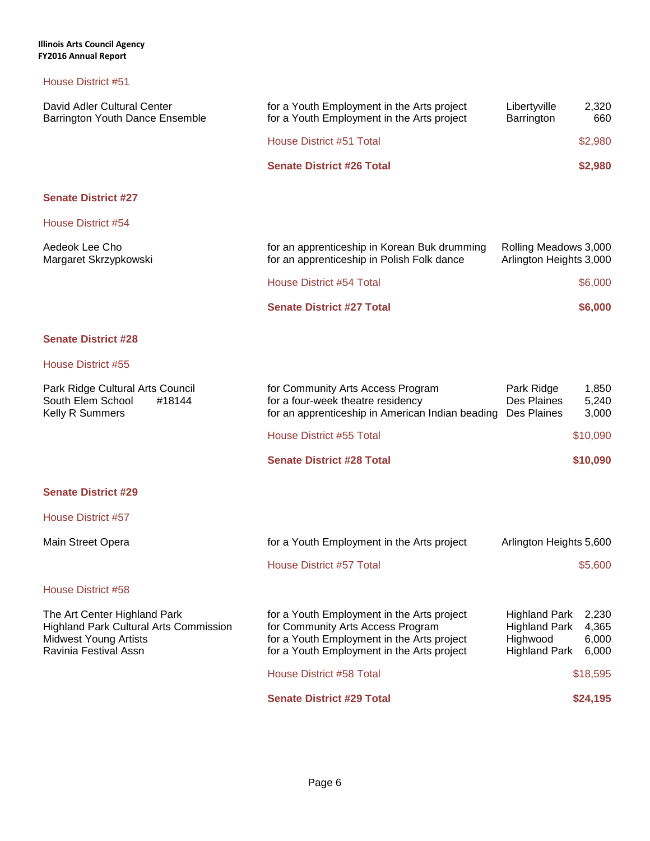| David Adler Cultural Center<br>Barrington Youth Dance Ensemble                                                                         | for a Youth Employment in the Arts project<br>for a Youth Employment in the Arts project                                                                                    | Libertyville<br>Barrington                                                       | 2,320<br>660                     |
|----------------------------------------------------------------------------------------------------------------------------------------|-----------------------------------------------------------------------------------------------------------------------------------------------------------------------------|----------------------------------------------------------------------------------|----------------------------------|
|                                                                                                                                        | <b>House District #51 Total</b>                                                                                                                                             |                                                                                  | \$2,980                          |
|                                                                                                                                        | <b>Senate District #26 Total</b>                                                                                                                                            |                                                                                  | \$2,980                          |
| <b>Senate District #27</b>                                                                                                             |                                                                                                                                                                             |                                                                                  |                                  |
| House District #54                                                                                                                     |                                                                                                                                                                             |                                                                                  |                                  |
| Aedeok Lee Cho<br>Margaret Skrzypkowski                                                                                                | for an apprenticeship in Korean Buk drumming<br>for an apprenticeship in Polish Folk dance                                                                                  | Rolling Meadows 3,000<br>Arlington Heights 3,000                                 |                                  |
|                                                                                                                                        | <b>House District #54 Total</b>                                                                                                                                             |                                                                                  | \$6,000                          |
|                                                                                                                                        | <b>Senate District #27 Total</b>                                                                                                                                            |                                                                                  | \$6,000                          |
| <b>Senate District #28</b>                                                                                                             |                                                                                                                                                                             |                                                                                  |                                  |
| House District #55                                                                                                                     |                                                                                                                                                                             |                                                                                  |                                  |
| Park Ridge Cultural Arts Council<br>South Elem School<br>#18144<br>Kelly R Summers                                                     | for Community Arts Access Program<br>for a four-week theatre residency<br>for an apprenticeship in American Indian beading                                                  | Park Ridge<br>Des Plaines<br>Des Plaines                                         | 1,850<br>5,240<br>3,000          |
|                                                                                                                                        | House District #55 Total                                                                                                                                                    |                                                                                  | \$10,090                         |
|                                                                                                                                        | <b>Senate District #28 Total</b>                                                                                                                                            |                                                                                  | \$10,090                         |
| <b>Senate District #29</b>                                                                                                             |                                                                                                                                                                             |                                                                                  |                                  |
| <b>House District #57</b>                                                                                                              |                                                                                                                                                                             |                                                                                  |                                  |
| Main Street Opera                                                                                                                      | for a Youth Employment in the Arts project                                                                                                                                  | Arlington Heights 5,600                                                          |                                  |
|                                                                                                                                        | <b>House District #57 Total</b>                                                                                                                                             |                                                                                  | \$5,600                          |
| House District #58                                                                                                                     |                                                                                                                                                                             |                                                                                  |                                  |
| The Art Center Highland Park<br><b>Highland Park Cultural Arts Commission</b><br><b>Midwest Young Artists</b><br>Ravinia Festival Assn | for a Youth Employment in the Arts project<br>for Community Arts Access Program<br>for a Youth Employment in the Arts project<br>for a Youth Employment in the Arts project | <b>Highland Park</b><br><b>Highland Park</b><br>Highwood<br><b>Highland Park</b> | 2,230<br>4,365<br>6,000<br>6,000 |
|                                                                                                                                        | <b>House District #58 Total</b>                                                                                                                                             |                                                                                  | \$18,595                         |
|                                                                                                                                        | <b>Senate District #29 Total</b>                                                                                                                                            |                                                                                  | \$24,195                         |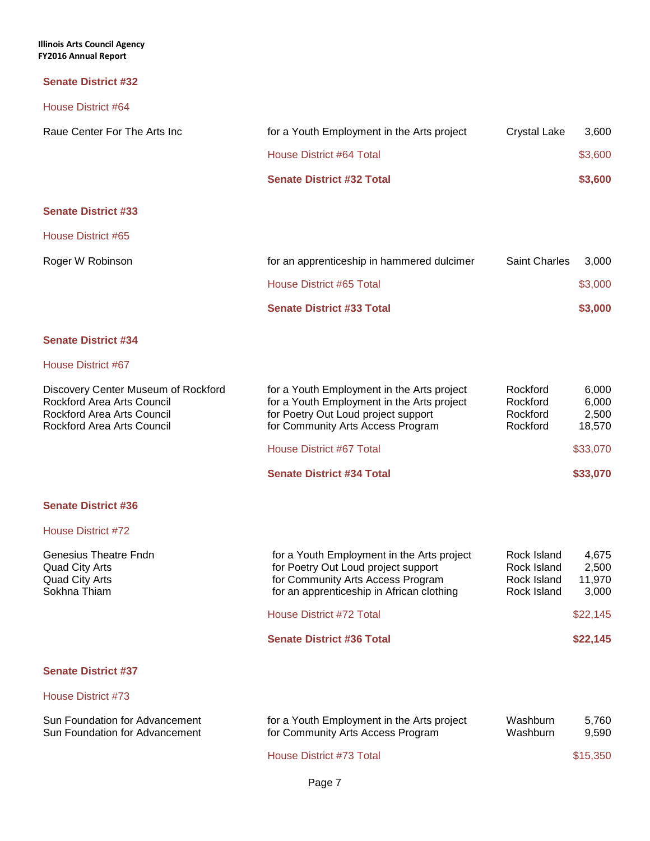| House District #64                                                                                                                   |                                                                                                                                                                      |                                              |                                   |
|--------------------------------------------------------------------------------------------------------------------------------------|----------------------------------------------------------------------------------------------------------------------------------------------------------------------|----------------------------------------------|-----------------------------------|
| Raue Center For The Arts Inc                                                                                                         | for a Youth Employment in the Arts project                                                                                                                           | <b>Crystal Lake</b>                          | 3,600                             |
|                                                                                                                                      | House District #64 Total                                                                                                                                             |                                              | \$3,600                           |
|                                                                                                                                      | <b>Senate District #32 Total</b>                                                                                                                                     |                                              | \$3,600                           |
| <b>Senate District #33</b>                                                                                                           |                                                                                                                                                                      |                                              |                                   |
| House District #65                                                                                                                   |                                                                                                                                                                      |                                              |                                   |
| Roger W Robinson                                                                                                                     | for an apprenticeship in hammered dulcimer                                                                                                                           | <b>Saint Charles</b>                         | 3,000                             |
|                                                                                                                                      | <b>House District #65 Total</b>                                                                                                                                      |                                              | \$3,000                           |
|                                                                                                                                      | <b>Senate District #33 Total</b>                                                                                                                                     |                                              | \$3,000                           |
| <b>Senate District #34</b>                                                                                                           |                                                                                                                                                                      |                                              |                                   |
| House District #67                                                                                                                   |                                                                                                                                                                      |                                              |                                   |
| Discovery Center Museum of Rockford<br>Rockford Area Arts Council<br><b>Rockford Area Arts Council</b><br>Rockford Area Arts Council | for a Youth Employment in the Arts project<br>for a Youth Employment in the Arts project<br>for Poetry Out Loud project support<br>for Community Arts Access Program | Rockford<br>Rockford<br>Rockford<br>Rockford | 6,000<br>6,000<br>2,500<br>18,570 |
|                                                                                                                                      | <b>House District #67 Total</b>                                                                                                                                      |                                              | \$33,070                          |
|                                                                                                                                      | <b>Senate District #34 Total</b>                                                                                                                                     |                                              | \$33,070                          |
| <b>Senate District #36</b>                                                                                                           |                                                                                                                                                                      |                                              |                                   |
| House District #72                                                                                                                   |                                                                                                                                                                      |                                              |                                   |
| Conocius Thootro Endn                                                                                                                | for a Vouth Employment in the Arts project                                                                                                                           | Dook Island                                  | $A$ $C$ 7 $E$                     |

| Genesius Theatre Fndn | for a Youth Employment in the Arts project         | Rock Island | 4.675    |
|-----------------------|----------------------------------------------------|-------------|----------|
| Quad City Arts        | for Poetry Out Loud project support<br>Rock Island |             | 2,500    |
| Quad City Arts        | for Community Arts Access Program                  | Rock Island | 11.970   |
| Sokhna Thiam          | for an apprenticeship in African clothing          | Rock Island | 3,000    |
|                       | House District #72 Total                           |             | \$22,145 |
|                       | <b>Senate District #36 Total</b>                   |             | \$22,145 |
|                       |                                                    |             |          |

#### **Senate District #37**

| Sun Foundation for Advancement | for a Youth Employment in the Arts project | Washburn | 5.760    |
|--------------------------------|--------------------------------------------|----------|----------|
| Sun Foundation for Advancement | for Community Arts Access Program          | Washburn | 9.590    |
|                                | House District #73 Total                   |          | \$15,350 |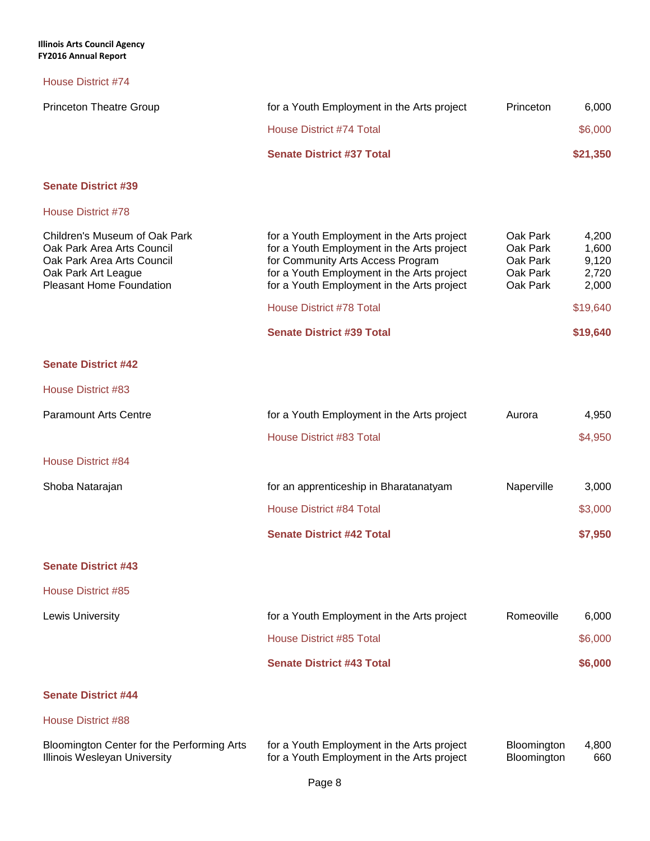# House District #74

| <b>Princeton Theatre Group</b>                                                                                                               | for a Youth Employment in the Arts project                                                                                                                                                                                                                                                       | Princeton                                                | 6,000                                                             |
|----------------------------------------------------------------------------------------------------------------------------------------------|--------------------------------------------------------------------------------------------------------------------------------------------------------------------------------------------------------------------------------------------------------------------------------------------------|----------------------------------------------------------|-------------------------------------------------------------------|
|                                                                                                                                              | House District #74 Total                                                                                                                                                                                                                                                                         |                                                          | \$6,000                                                           |
|                                                                                                                                              | <b>Senate District #37 Total</b>                                                                                                                                                                                                                                                                 |                                                          | \$21,350                                                          |
| <b>Senate District #39</b>                                                                                                                   |                                                                                                                                                                                                                                                                                                  |                                                          |                                                                   |
| <b>House District #78</b>                                                                                                                    |                                                                                                                                                                                                                                                                                                  |                                                          |                                                                   |
| Children's Museum of Oak Park<br>Oak Park Area Arts Council<br>Oak Park Area Arts Council<br>Oak Park Art League<br>Pleasant Home Foundation | for a Youth Employment in the Arts project<br>for a Youth Employment in the Arts project<br>for Community Arts Access Program<br>for a Youth Employment in the Arts project<br>for a Youth Employment in the Arts project<br><b>House District #78 Total</b><br><b>Senate District #39 Total</b> | Oak Park<br>Oak Park<br>Oak Park<br>Oak Park<br>Oak Park | 4,200<br>1,600<br>9,120<br>2,720<br>2,000<br>\$19,640<br>\$19,640 |
| <b>Senate District #42</b>                                                                                                                   |                                                                                                                                                                                                                                                                                                  |                                                          |                                                                   |
| House District #83                                                                                                                           |                                                                                                                                                                                                                                                                                                  |                                                          |                                                                   |
| <b>Paramount Arts Centre</b>                                                                                                                 | for a Youth Employment in the Arts project                                                                                                                                                                                                                                                       | Aurora                                                   | 4,950                                                             |
|                                                                                                                                              | House District #83 Total                                                                                                                                                                                                                                                                         |                                                          | \$4,950                                                           |
| <b>House District #84</b>                                                                                                                    |                                                                                                                                                                                                                                                                                                  |                                                          |                                                                   |
| Shoba Natarajan                                                                                                                              | for an apprenticeship in Bharatanatyam                                                                                                                                                                                                                                                           | Naperville                                               | 3,000                                                             |

| <b>Senate District #42 Total</b> | \$7,950 |
|----------------------------------|---------|
| House District #84 Total         | \$3,000 |

#### **Senate District #43**

#### House District #85

| Lewis University | for a Youth Employment in the Arts project | Romeoville |         |
|------------------|--------------------------------------------|------------|---------|
|                  | House District #85 Total                   |            |         |
|                  | <b>Senate District #43 Total</b>           |            | \$6,000 |

# **Senate District #44**

| Bloomington Center for the Performing Arts | for a Youth Employment in the Arts project | Bloomington        | 4,800 |
|--------------------------------------------|--------------------------------------------|--------------------|-------|
| Illinois Wesleyan University               | for a Youth Employment in the Arts project | <b>Bloomington</b> | 660   |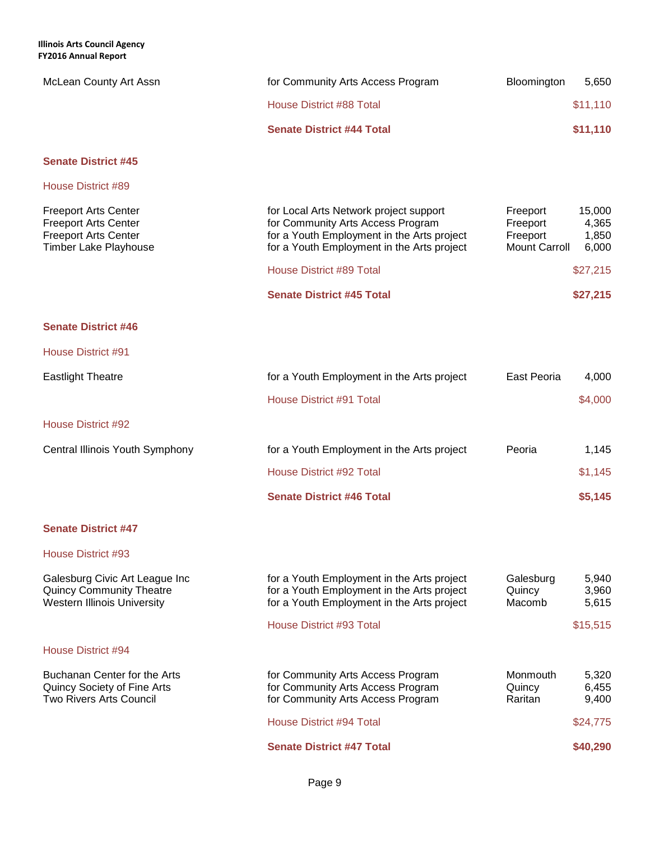| McLean County Art Assn                                                                                                    | for Community Arts Access Program                                                                                                                                       | Bloomington                                              | 5,650                             |
|---------------------------------------------------------------------------------------------------------------------------|-------------------------------------------------------------------------------------------------------------------------------------------------------------------------|----------------------------------------------------------|-----------------------------------|
|                                                                                                                           | <b>House District #88 Total</b>                                                                                                                                         |                                                          | \$11,110                          |
|                                                                                                                           | <b>Senate District #44 Total</b>                                                                                                                                        |                                                          | \$11,110                          |
| <b>Senate District #45</b>                                                                                                |                                                                                                                                                                         |                                                          |                                   |
| <b>House District #89</b>                                                                                                 |                                                                                                                                                                         |                                                          |                                   |
| <b>Freeport Arts Center</b><br><b>Freeport Arts Center</b><br><b>Freeport Arts Center</b><br><b>Timber Lake Playhouse</b> | for Local Arts Network project support<br>for Community Arts Access Program<br>for a Youth Employment in the Arts project<br>for a Youth Employment in the Arts project | Freeport<br>Freeport<br>Freeport<br><b>Mount Carroll</b> | 15,000<br>4,365<br>1,850<br>6,000 |
|                                                                                                                           | <b>House District #89 Total</b>                                                                                                                                         |                                                          | \$27,215                          |
|                                                                                                                           | <b>Senate District #45 Total</b>                                                                                                                                        |                                                          | \$27,215                          |
| <b>Senate District #46</b>                                                                                                |                                                                                                                                                                         |                                                          |                                   |
| House District #91                                                                                                        |                                                                                                                                                                         |                                                          |                                   |
| <b>Eastlight Theatre</b>                                                                                                  | for a Youth Employment in the Arts project                                                                                                                              | East Peoria                                              | 4,000                             |
|                                                                                                                           | House District #91 Total                                                                                                                                                |                                                          | \$4,000                           |
| <b>House District #92</b>                                                                                                 |                                                                                                                                                                         |                                                          |                                   |
| Central Illinois Youth Symphony                                                                                           | for a Youth Employment in the Arts project                                                                                                                              | Peoria                                                   | 1,145                             |
|                                                                                                                           | House District #92 Total                                                                                                                                                |                                                          | \$1,145                           |
|                                                                                                                           | <b>Senate District #46 Total</b>                                                                                                                                        |                                                          | \$5,145                           |
| <b>Senate District #47</b>                                                                                                |                                                                                                                                                                         |                                                          |                                   |
| House District #93                                                                                                        |                                                                                                                                                                         |                                                          |                                   |
| Galesburg Civic Art League Inc<br><b>Quincy Community Theatre</b><br>Western Illinois University                          | for a Youth Employment in the Arts project<br>for a Youth Employment in the Arts project<br>for a Youth Employment in the Arts project                                  | Galesburg<br>Quincy<br>Macomb                            | 5,940<br>3,960<br>5,615           |
|                                                                                                                           | House District #93 Total                                                                                                                                                |                                                          | \$15,515                          |
| House District #94                                                                                                        |                                                                                                                                                                         |                                                          |                                   |
| Buchanan Center for the Arts<br>Quincy Society of Fine Arts<br>Two Rivers Arts Council                                    | for Community Arts Access Program<br>for Community Arts Access Program<br>for Community Arts Access Program                                                             | Monmouth<br>Quincy<br>Raritan                            | 5,320<br>6,455<br>9,400           |
|                                                                                                                           | <b>House District #94 Total</b>                                                                                                                                         |                                                          | \$24,775                          |
|                                                                                                                           | <b>Senate District #47 Total</b>                                                                                                                                        |                                                          | \$40,290                          |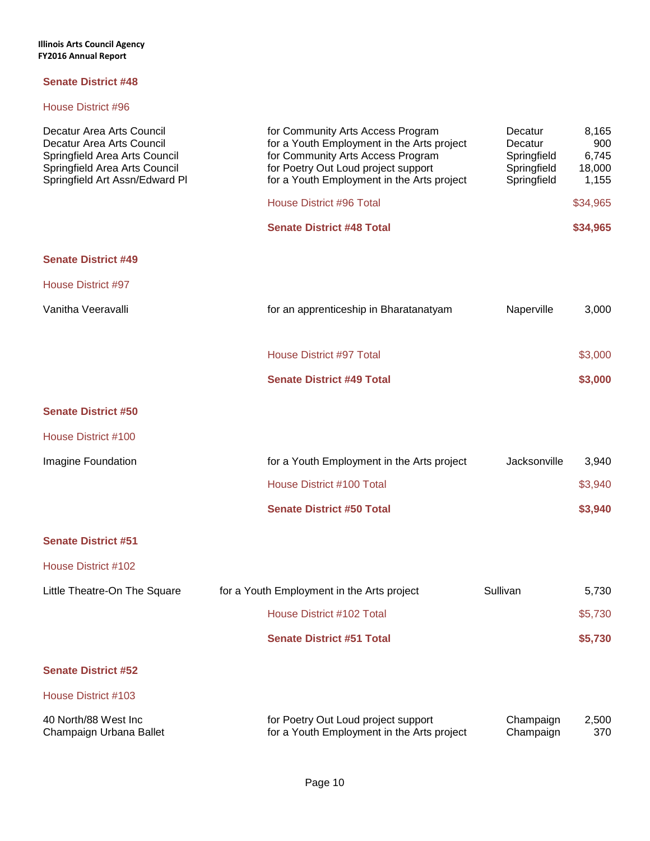| Decatur Area Arts Council<br>Decatur Area Arts Council<br>Springfield Area Arts Council<br>Springfield Area Arts Council<br>Springfield Art Assn/Edward Pl | for Community Arts Access Program<br>for a Youth Employment in the Arts project<br>for Community Arts Access Program<br>for Poetry Out Loud project support<br>for a Youth Employment in the Arts project | Decatur<br>Decatur<br>Springfield<br>Springfield<br>Springfield | 8,165<br>900<br>6,745<br>18,000<br>1,155 |
|------------------------------------------------------------------------------------------------------------------------------------------------------------|-----------------------------------------------------------------------------------------------------------------------------------------------------------------------------------------------------------|-----------------------------------------------------------------|------------------------------------------|
|                                                                                                                                                            | House District #96 Total                                                                                                                                                                                  |                                                                 | \$34,965                                 |
|                                                                                                                                                            | <b>Senate District #48 Total</b>                                                                                                                                                                          |                                                                 | \$34,965                                 |
| <b>Senate District #49</b>                                                                                                                                 |                                                                                                                                                                                                           |                                                                 |                                          |
| <b>House District #97</b>                                                                                                                                  |                                                                                                                                                                                                           |                                                                 |                                          |
| Vanitha Veeravalli                                                                                                                                         | for an apprenticeship in Bharatanatyam                                                                                                                                                                    | Naperville                                                      | 3,000                                    |
|                                                                                                                                                            | <b>House District #97 Total</b>                                                                                                                                                                           |                                                                 | \$3,000                                  |
|                                                                                                                                                            | <b>Senate District #49 Total</b>                                                                                                                                                                          |                                                                 | \$3,000                                  |
| <b>Senate District #50</b>                                                                                                                                 |                                                                                                                                                                                                           |                                                                 |                                          |
| House District #100                                                                                                                                        |                                                                                                                                                                                                           |                                                                 |                                          |
| Imagine Foundation                                                                                                                                         | for a Youth Employment in the Arts project                                                                                                                                                                | Jacksonville                                                    | 3,940                                    |
|                                                                                                                                                            | House District #100 Total                                                                                                                                                                                 |                                                                 | \$3,940                                  |
|                                                                                                                                                            | <b>Senate District #50 Total</b>                                                                                                                                                                          |                                                                 | \$3,940                                  |
| <b>Senate District #51</b>                                                                                                                                 |                                                                                                                                                                                                           |                                                                 |                                          |
| House District #102                                                                                                                                        |                                                                                                                                                                                                           |                                                                 |                                          |
| Little Theatre-On The Square                                                                                                                               | for a Youth Employment in the Arts project                                                                                                                                                                | Sullivan                                                        | 5,730                                    |
|                                                                                                                                                            | House District #102 Total                                                                                                                                                                                 |                                                                 | \$5,730                                  |
|                                                                                                                                                            | <b>Senate District #51 Total</b>                                                                                                                                                                          |                                                                 | \$5,730                                  |
| <b>Senate District #52</b>                                                                                                                                 |                                                                                                                                                                                                           |                                                                 |                                          |
| House District #103                                                                                                                                        |                                                                                                                                                                                                           |                                                                 |                                          |
| 40 North/88 West Inc<br>Champaign Urbana Ballet                                                                                                            | for Poetry Out Loud project support<br>for a Youth Employment in the Arts project                                                                                                                         | Champaign<br>Champaign                                          | 2,500<br>370                             |